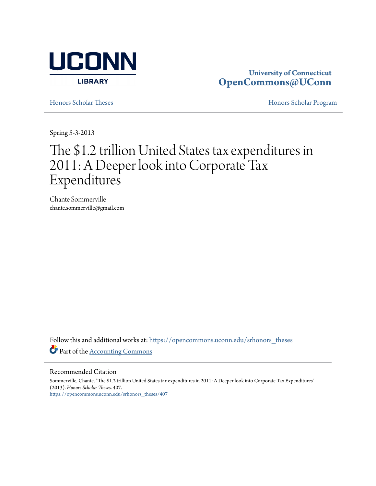

# **University of Connecticut [OpenCommons@UConn](https://opencommons.uconn.edu?utm_source=opencommons.uconn.edu%2Fsrhonors_theses%2F407&utm_medium=PDF&utm_campaign=PDFCoverPages)**

[Honors Scholar Theses](https://opencommons.uconn.edu/srhonors_theses?utm_source=opencommons.uconn.edu%2Fsrhonors_theses%2F407&utm_medium=PDF&utm_campaign=PDFCoverPages) [Honors Scholar Program](https://opencommons.uconn.edu/srhonors?utm_source=opencommons.uconn.edu%2Fsrhonors_theses%2F407&utm_medium=PDF&utm_campaign=PDFCoverPages)

Spring 5-3-2013

# The \$1.2 trillion United States tax expenditures in 2011: A Deeper look into Corporate Tax Expenditures

Chante Sommerville chante.sommerville@gmail.com

Follow this and additional works at: [https://opencommons.uconn.edu/srhonors\\_theses](https://opencommons.uconn.edu/srhonors_theses?utm_source=opencommons.uconn.edu%2Fsrhonors_theses%2F407&utm_medium=PDF&utm_campaign=PDFCoverPages) Part of the [Accounting Commons](http://network.bepress.com/hgg/discipline/625?utm_source=opencommons.uconn.edu%2Fsrhonors_theses%2F407&utm_medium=PDF&utm_campaign=PDFCoverPages)

#### Recommended Citation

Sommerville, Chante, "The \$1.2 trillion United States tax expenditures in 2011: A Deeper look into Corporate Tax Expenditures" (2013). *Honors Scholar Theses*. 407. [https://opencommons.uconn.edu/srhonors\\_theses/407](https://opencommons.uconn.edu/srhonors_theses/407?utm_source=opencommons.uconn.edu%2Fsrhonors_theses%2F407&utm_medium=PDF&utm_campaign=PDFCoverPages)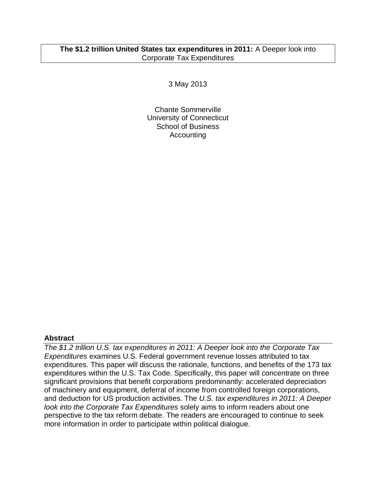# **The \$1.2 trillion United States tax expenditures in 2011:** A Deeper look into Corporate Tax Expenditures

3 May 2013

Chante Sommerville University of Connecticut School of Business Accounting

# **Abstract**

*The \$1.2 trillion U.S. tax expenditures in 2011: A Deeper look into the Corporate Tax Expenditures* examines U.S. Federal government revenue losses attributed to tax expenditures. This paper will discuss the rationale, functions, and benefits of the 173 tax expenditures within the U.S. Tax Code. Specifically, this paper will concentrate on three significant provisions that benefit corporations predominantly: accelerated depreciation of machinery and equipment, deferral of income from controlled foreign corporations, and deduction for US production activities. The *U.S. tax expenditures in 2011: A Deeper look into the Corporate Tax Expenditures* solely aims to inform readers about one perspective to the tax reform debate. The readers are encouraged to continue to seek more information in order to participate within political dialogue.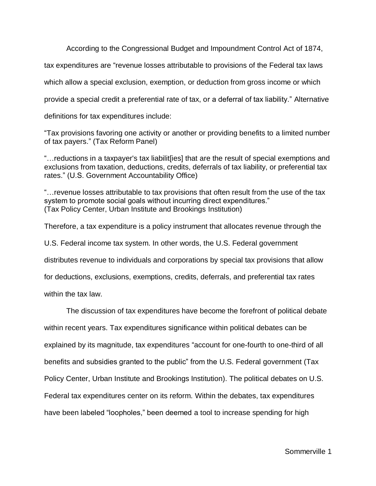According to the Congressional Budget and Impoundment Control Act of 1874,

tax expenditures are "revenue losses attributable to provisions of the Federal tax laws

which allow a special exclusion, exemption, or deduction from gross income or which

provide a special credit a preferential rate of tax, or a deferral of tax liability." Alternative

definitions for tax expenditures include:

"Tax provisions favoring one activity or another or providing benefits to a limited number of tax payers." (Tax Reform Panel)

"…reductions in a taxpayer's tax liabilit[ies] that are the result of special exemptions and exclusions from taxation, deductions, credits, deferrals of tax liability, or preferential tax rates." (U.S. Government Accountability Office)

"…revenue losses attributable to tax provisions that often result from the use of the tax system to promote social goals without incurring direct expenditures." (Tax Policy Center, Urban Institute and Brookings Institution)

Therefore, a tax expenditure is a policy instrument that allocates revenue through the

U.S. Federal income tax system. In other words, the U.S. Federal government

distributes revenue to individuals and corporations by special tax provisions that allow

for deductions, exclusions, exemptions, credits, deferrals, and preferential tax rates

within the tax law.

The discussion of tax expenditures have become the forefront of political debate within recent years. Tax expenditures significance within political debates can be explained by its magnitude, tax expenditures "account for one-fourth to one-third of all benefits and subsidies granted to the public" from the U.S. Federal government (Tax Policy Center, Urban Institute and Brookings Institution). The political debates on U.S. Federal tax expenditures center on its reform. Within the debates, tax expenditures have been labeled "loopholes," been deemed a tool to increase spending for high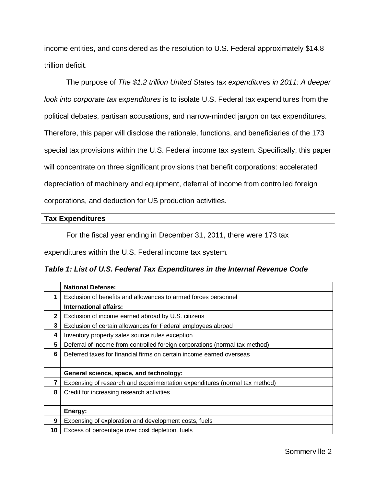income entities, and considered as the resolution to U.S. Federal approximately \$14.8 trillion deficit.

The purpose of *The \$1.2 trillion United States tax expenditures in 2011: A deeper look into corporate tax expenditures* is to isolate U.S. Federal tax expenditures from the political debates, partisan accusations, and narrow-minded jargon on tax expenditures. Therefore, this paper will disclose the rationale, functions, and beneficiaries of the 173 special tax provisions within the U.S. Federal income tax system. Specifically, this paper will concentrate on three significant provisions that benefit corporations: accelerated depreciation of machinery and equipment, deferral of income from controlled foreign corporations, and deduction for US production activities.

## **Tax Expenditures**

For the fiscal year ending in December 31, 2011, there were 173 tax

expenditures within the U.S. Federal income tax system.

*Table 1: List of U.S. Federal Tax Expenditures in the Internal Revenue Code*

|              | <b>National Defense:</b>                                                    |  |  |  |
|--------------|-----------------------------------------------------------------------------|--|--|--|
|              | Exclusion of benefits and allowances to armed forces personnel              |  |  |  |
|              | <b>International affairs:</b>                                               |  |  |  |
| $\mathbf{2}$ | Exclusion of income earned abroad by U.S. citizens                          |  |  |  |
| 3            | Exclusion of certain allowances for Federal employees abroad                |  |  |  |
| 4            | Inventory property sales source rules exception                             |  |  |  |
| 5            | Deferral of income from controlled foreign corporations (normal tax method) |  |  |  |
| 6            | Deferred taxes for financial firms on certain income earned overseas        |  |  |  |
|              |                                                                             |  |  |  |
|              | General science, space, and technology:                                     |  |  |  |
| 7            | Expensing of research and experimentation expenditures (normal tax method)  |  |  |  |
| 8            | Credit for increasing research activities                                   |  |  |  |
|              |                                                                             |  |  |  |
|              | Energy:                                                                     |  |  |  |
| 9            | Expensing of exploration and development costs, fuels                       |  |  |  |
| 10           | Excess of percentage over cost depletion, fuels                             |  |  |  |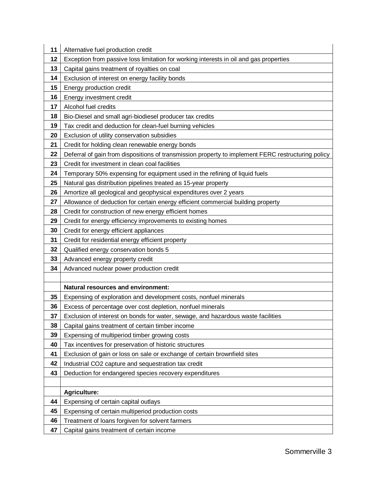| 11 | Alternative fuel production credit                                                                 |  |  |  |
|----|----------------------------------------------------------------------------------------------------|--|--|--|
| 12 | Exception from passive loss limitation for working interests in oil and gas properties             |  |  |  |
| 13 | Capital gains treatment of royalties on coal                                                       |  |  |  |
| 14 | Exclusion of interest on energy facility bonds                                                     |  |  |  |
| 15 | Energy production credit                                                                           |  |  |  |
| 16 | Energy investment credit                                                                           |  |  |  |
| 17 | Alcohol fuel credits                                                                               |  |  |  |
| 18 | Bio-Diesel and small agri-biodiesel producer tax credits                                           |  |  |  |
| 19 | Tax credit and deduction for clean-fuel burning vehicles                                           |  |  |  |
| 20 | Exclusion of utility conservation subsidies                                                        |  |  |  |
| 21 | Credit for holding clean renewable energy bonds                                                    |  |  |  |
| 22 | Deferral of gain from dispositions of transmission property to implement FERC restructuring policy |  |  |  |
| 23 | Credit for investment in clean coal facilities                                                     |  |  |  |
| 24 | Temporary 50% expensing for equipment used in the refining of liquid fuels                         |  |  |  |
| 25 | Natural gas distribution pipelines treated as 15-year property                                     |  |  |  |
| 26 | Amortize all geological and geophysical expenditures over 2 years                                  |  |  |  |
| 27 | Allowance of deduction for certain energy efficient commercial building property                   |  |  |  |
| 28 | Credit for construction of new energy efficient homes                                              |  |  |  |
| 29 | Credit for energy efficiency improvements to existing homes                                        |  |  |  |
| 30 | Credit for energy efficient appliances                                                             |  |  |  |
| 31 | Credit for residential energy efficient property                                                   |  |  |  |
| 32 | Qualified energy conservation bonds 5                                                              |  |  |  |
| 33 | Advanced energy property credit                                                                    |  |  |  |
| 34 | Advanced nuclear power production credit                                                           |  |  |  |
|    |                                                                                                    |  |  |  |
|    | <b>Natural resources and environment:</b>                                                          |  |  |  |
| 35 | Expensing of exploration and development costs, nonfuel minerals                                   |  |  |  |
| 36 | Excess of percentage over cost depletion, nonfuel minerals                                         |  |  |  |
| 37 | Exclusion of interest on bonds for water, sewage, and hazardous waste facilities                   |  |  |  |
| 38 | Capital gains treatment of certain timber income                                                   |  |  |  |
| 39 | Expensing of multiperiod timber growing costs                                                      |  |  |  |
| 40 | Tax incentives for preservation of historic structures                                             |  |  |  |
| 41 | Exclusion of gain or loss on sale or exchange of certain brownfield sites                          |  |  |  |
| 42 | Industrial CO2 capture and sequestration tax credit                                                |  |  |  |
| 43 | Deduction for endangered species recovery expenditures                                             |  |  |  |
|    |                                                                                                    |  |  |  |
|    | <b>Agriculture:</b>                                                                                |  |  |  |
| 44 | Expensing of certain capital outlays                                                               |  |  |  |
| 45 | Expensing of certain multiperiod production costs                                                  |  |  |  |
| 46 | Treatment of loans forgiven for solvent farmers                                                    |  |  |  |
| 47 | Capital gains treatment of certain income                                                          |  |  |  |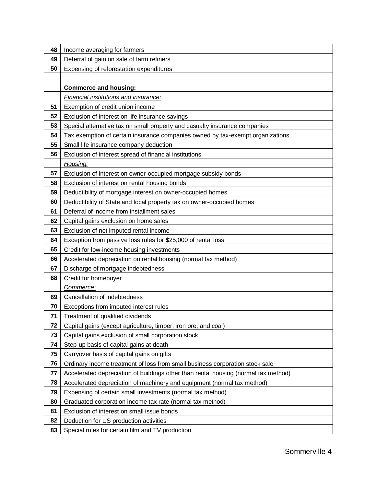| 48 | Income averaging for farmers                                                        |  |  |  |
|----|-------------------------------------------------------------------------------------|--|--|--|
| 49 | Deferral of gain on sale of farm refiners                                           |  |  |  |
| 50 | Expensing of reforestation expenditures                                             |  |  |  |
|    |                                                                                     |  |  |  |
|    | <b>Commerce and housing:</b>                                                        |  |  |  |
|    | Financial institutions and insurance:                                               |  |  |  |
| 51 | Exemption of credit union income                                                    |  |  |  |
| 52 | Exclusion of interest on life insurance savings                                     |  |  |  |
| 53 | Special alternative tax on small property and casualty insurance companies          |  |  |  |
| 54 | Tax exemption of certain insurance companies owned by tax-exempt organizations      |  |  |  |
| 55 | Small life insurance company deduction                                              |  |  |  |
| 56 | Exclusion of interest spread of financial institutions                              |  |  |  |
|    | Housing:                                                                            |  |  |  |
| 57 | Exclusion of interest on owner-occupied mortgage subsidy bonds                      |  |  |  |
| 58 | Exclusion of interest on rental housing bonds                                       |  |  |  |
| 59 | Deductibility of mortgage interest on owner-occupied homes                          |  |  |  |
| 60 | Deductibility of State and local property tax on owner-occupied homes               |  |  |  |
| 61 | Deferral of income from installment sales                                           |  |  |  |
| 62 | Capital gains exclusion on home sales                                               |  |  |  |
| 63 | Exclusion of net imputed rental income                                              |  |  |  |
| 64 | Exception from passive loss rules for \$25,000 of rental loss                       |  |  |  |
| 65 | Credit for low-income housing investments                                           |  |  |  |
| 66 | Accelerated depreciation on rental housing (normal tax method)                      |  |  |  |
| 67 | Discharge of mortgage indebtedness                                                  |  |  |  |
| 68 | Credit for homebuyer                                                                |  |  |  |
|    | Commerce:                                                                           |  |  |  |
| 69 | Cancellation of indebtedness                                                        |  |  |  |
| 70 | Exceptions from imputed interest rules                                              |  |  |  |
| 71 | Treatment of qualified dividends                                                    |  |  |  |
| 72 | Capital gains (except agriculture, timber, iron ore, and coal)                      |  |  |  |
| 73 | Capital gains exclusion of small corporation stock                                  |  |  |  |
| 74 | Step-up basis of capital gains at death                                             |  |  |  |
| 75 | Carryover basis of capital gains on gifts                                           |  |  |  |
| 76 | Ordinary income treatment of loss from small business corporation stock sale        |  |  |  |
| 77 | Accelerated depreciation of buildings other than rental housing (normal tax method) |  |  |  |
| 78 | Accelerated depreciation of machinery and equipment (normal tax method)             |  |  |  |
| 79 | Expensing of certain small investments (normal tax method)                          |  |  |  |
| 80 | Graduated corporation income tax rate (normal tax method)                           |  |  |  |
| 81 | Exclusion of interest on small issue bonds                                          |  |  |  |
| 82 | Deduction for US production activities                                              |  |  |  |
| 83 | Special rules for certain film and TV production                                    |  |  |  |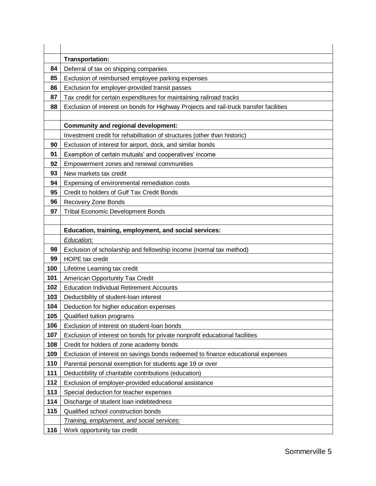|     | Transportation:                                                                        |  |  |  |  |
|-----|----------------------------------------------------------------------------------------|--|--|--|--|
| 84  | Deferral of tax on shipping companies                                                  |  |  |  |  |
| 85  | Exclusion of reimbursed employee parking expenses                                      |  |  |  |  |
| 86  | Exclusion for employer-provided transit passes                                         |  |  |  |  |
| 87  | Tax credit for certain expenditures for maintaining railroad tracks                    |  |  |  |  |
| 88  | Exclusion of interest on bonds for Highway Projects and rail-truck transfer facilities |  |  |  |  |
|     |                                                                                        |  |  |  |  |
|     | <b>Community and regional development:</b>                                             |  |  |  |  |
|     | Investment credit for rehabilitation of structures (other than historic)               |  |  |  |  |
| 90  | Exclusion of interest for airport, dock, and similar bonds                             |  |  |  |  |
| 91  | Exemption of certain mutuals' and cooperatives' income                                 |  |  |  |  |
| 92  | Empowerment zones and renewal communities                                              |  |  |  |  |
| 93  | New markets tax credit                                                                 |  |  |  |  |
| 94  | Expensing of environmental remediation costs                                           |  |  |  |  |
| 95  | Credit to holders of Gulf Tax Credit Bonds                                             |  |  |  |  |
| 96  | Recovery Zone Bonds                                                                    |  |  |  |  |
| 97  | <b>Tribal Economic Development Bonds</b>                                               |  |  |  |  |
|     |                                                                                        |  |  |  |  |
|     | Education, training, employment, and social services:                                  |  |  |  |  |
|     | Education:                                                                             |  |  |  |  |
| 98  | Exclusion of scholarship and fellowship income (normal tax method)                     |  |  |  |  |
| 99  | <b>HOPE</b> tax credit                                                                 |  |  |  |  |
| 100 | Lifetime Learning tax credit                                                           |  |  |  |  |
| 101 | American Opportunity Tax Credit                                                        |  |  |  |  |
| 102 | <b>Education Individual Retirement Accounts</b>                                        |  |  |  |  |
| 103 | Deductibility of student-loan interest                                                 |  |  |  |  |
| 104 | Deduction for higher education expenses                                                |  |  |  |  |
| 105 | Qualified tuition programs                                                             |  |  |  |  |
| 106 | Exclusion of interest on student-loan bonds                                            |  |  |  |  |
| 107 | Exclusion of interest on bonds for private nonprofit educational facilities            |  |  |  |  |
| 108 | Credit for holders of zone academy bonds                                               |  |  |  |  |
| 109 | Exclusion of interest on savings bonds redeemed to finance educational expenses        |  |  |  |  |
| 110 | Parental personal exemption for students age 19 or over                                |  |  |  |  |
| 111 | Deductibility of charitable contributions (education)                                  |  |  |  |  |
| 112 | Exclusion of employer-provided educational assistance                                  |  |  |  |  |
| 113 | Special deduction for teacher expenses                                                 |  |  |  |  |
| 114 | Discharge of student loan indebtedness                                                 |  |  |  |  |
| 115 | Qualified school construction bonds                                                    |  |  |  |  |
|     | Training, employment, and social services:                                             |  |  |  |  |
| 116 | Work opportunity tax credit                                                            |  |  |  |  |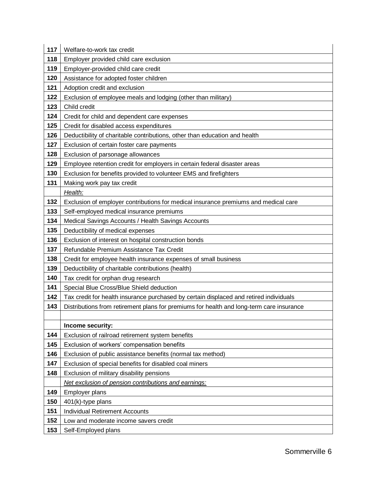| 117 | Welfare-to-work tax credit                                                               |  |  |  |  |
|-----|------------------------------------------------------------------------------------------|--|--|--|--|
| 118 | Employer provided child care exclusion                                                   |  |  |  |  |
| 119 | Employer-provided child care credit                                                      |  |  |  |  |
| 120 | Assistance for adopted foster children                                                   |  |  |  |  |
| 121 | Adoption credit and exclusion                                                            |  |  |  |  |
| 122 | Exclusion of employee meals and lodging (other than military)                            |  |  |  |  |
| 123 | Child credit                                                                             |  |  |  |  |
| 124 | Credit for child and dependent care expenses                                             |  |  |  |  |
| 125 | Credit for disabled access expenditures                                                  |  |  |  |  |
| 126 | Deductibility of charitable contributions, other than education and health               |  |  |  |  |
| 127 | Exclusion of certain foster care payments                                                |  |  |  |  |
| 128 | Exclusion of parsonage allowances                                                        |  |  |  |  |
| 129 | Employee retention credit for employers in certain federal disaster areas                |  |  |  |  |
| 130 | Exclusion for benefits provided to volunteer EMS and firefighters                        |  |  |  |  |
| 131 | Making work pay tax credit                                                               |  |  |  |  |
|     | Health:                                                                                  |  |  |  |  |
| 132 | Exclusion of employer contributions for medical insurance premiums and medical care      |  |  |  |  |
| 133 | Self-employed medical insurance premiums                                                 |  |  |  |  |
| 134 | Medical Savings Accounts / Health Savings Accounts                                       |  |  |  |  |
| 135 | Deductibility of medical expenses                                                        |  |  |  |  |
| 136 | Exclusion of interest on hospital construction bonds                                     |  |  |  |  |
| 137 | Refundable Premium Assistance Tax Credit                                                 |  |  |  |  |
| 138 | Credit for employee health insurance expenses of small business                          |  |  |  |  |
| 139 | Deductibility of charitable contributions (health)                                       |  |  |  |  |
| 140 | Tax credit for orphan drug research                                                      |  |  |  |  |
| 141 | Special Blue Cross/Blue Shield deduction                                                 |  |  |  |  |
| 142 | Tax credit for health insurance purchased by certain displaced and retired individuals   |  |  |  |  |
| 143 | Distributions from retirement plans for premiums for health and long-term care insurance |  |  |  |  |
|     |                                                                                          |  |  |  |  |
|     | Income security:                                                                         |  |  |  |  |
| 144 | Exclusion of railroad retirement system benefits                                         |  |  |  |  |
| 145 | Exclusion of workers' compensation benefits                                              |  |  |  |  |
| 146 | Exclusion of public assistance benefits (normal tax method)                              |  |  |  |  |
| 147 | Exclusion of special benefits for disabled coal miners                                   |  |  |  |  |
| 148 | Exclusion of military disability pensions                                                |  |  |  |  |
|     | Net exclusion of pension contributions and earnings:                                     |  |  |  |  |
| 149 | Employer plans                                                                           |  |  |  |  |
| 150 | 401(k)-type plans                                                                        |  |  |  |  |
| 151 | <b>Individual Retirement Accounts</b>                                                    |  |  |  |  |
| 152 | Low and moderate income savers credit                                                    |  |  |  |  |
| 153 | Self-Employed plans                                                                      |  |  |  |  |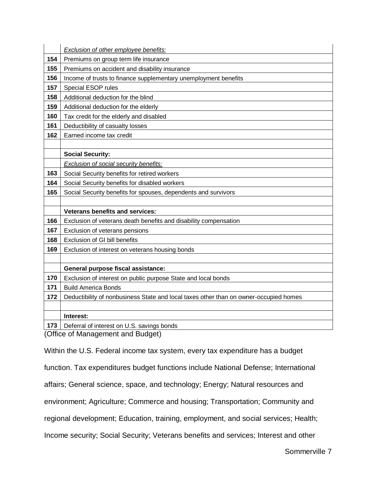|     | Exclusion of other employee benefits:                                                 |
|-----|---------------------------------------------------------------------------------------|
| 154 | Premiums on group term life insurance                                                 |
| 155 | Premiums on accident and disability insurance                                         |
| 156 | Income of trusts to finance supplementary unemployment benefits                       |
| 157 | Special ESOP rules                                                                    |
| 158 | Additional deduction for the blind                                                    |
| 159 | Additional deduction for the elderly                                                  |
| 160 | Tax credit for the elderly and disabled                                               |
| 161 | Deductibility of casualty losses                                                      |
| 162 | Earned income tax credit                                                              |
|     |                                                                                       |
|     | <b>Social Security:</b>                                                               |
|     | Exclusion of social security benefits:                                                |
| 163 | Social Security benefits for retired workers                                          |
| 164 | Social Security benefits for disabled workers                                         |
| 165 | Social Security benefits for spouses, dependents and survivors                        |
|     |                                                                                       |
|     | <b>Veterans benefits and services:</b>                                                |
| 166 | Exclusion of veterans death benefits and disability compensation                      |
| 167 | Exclusion of veterans pensions                                                        |
| 168 | <b>Exclusion of GI bill benefits</b>                                                  |
| 169 | Exclusion of interest on veterans housing bonds                                       |
|     |                                                                                       |
|     | General purpose fiscal assistance:                                                    |
| 170 | Exclusion of interest on public purpose State and local bonds                         |
| 171 | <b>Build America Bonds</b>                                                            |
| 172 | Deductibility of nonbusiness State and local taxes other than on owner-occupied homes |
|     |                                                                                       |
|     | Interest:                                                                             |
| 173 | Deferral of interest on U.S. savings bonds                                            |

(Office of Management and Budget)

Within the U.S. Federal income tax system, every tax expenditure has a budget function. Tax expenditures budget functions include National Defense; International affairs; General science, space, and technology; Energy; Natural resources and environment; Agriculture; Commerce and housing; Transportation; Community and regional development; Education, training, employment, and social services; Health; Income security; Social Security; Veterans benefits and services; Interest and other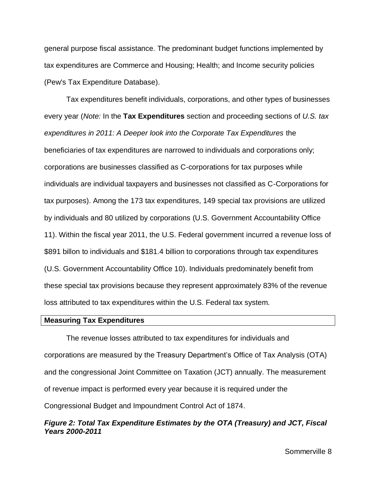general purpose fiscal assistance. The predominant budget functions implemented by tax expenditures are Commerce and Housing; Health; and Income security policies (Pew's Tax Expenditure Database).

Tax expenditures benefit individuals, corporations, and other types of businesses every year (*Note:* In the **Tax Expenditures** section and proceeding sections of *U.S. tax expenditures in 2011: A Deeper look into the Corporate Tax Expenditures* the beneficiaries of tax expenditures are narrowed to individuals and corporations only; corporations are businesses classified as C-corporations for tax purposes while individuals are individual taxpayers and businesses not classified as C-Corporations for tax purposes). Among the 173 tax expenditures, 149 special tax provisions are utilized by individuals and 80 utilized by corporations (U.S. Government Accountability Office 11). Within the fiscal year 2011, the U.S. Federal government incurred a revenue loss of \$891 billon to individuals and \$181.4 billion to corporations through tax expenditures (U.S. Government Accountability Office 10). Individuals predominately benefit from these special tax provisions because they represent approximately 83% of the revenue loss attributed to tax expenditures within the U.S. Federal tax system.

#### **Measuring Tax Expenditures**

The revenue losses attributed to tax expenditures for individuals and corporations are measured by the Treasury Department's Office of Tax Analysis (OTA) and the congressional Joint Committee on Taxation (JCT) annually. The measurement of revenue impact is performed every year because it is required under the Congressional Budget and Impoundment Control Act of 1874.

# *Figure 2: Total Tax Expenditure Estimates by the OTA (Treasury) and JCT, Fiscal Years 2000-2011*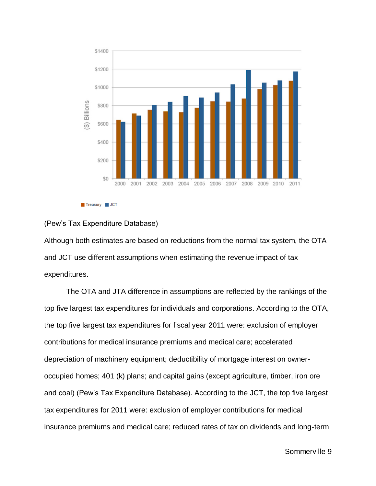

### (Pew's Tax Expenditure Database)

Although both estimates are based on reductions from the normal tax system, the OTA and JCT use different assumptions when estimating the revenue impact of tax expenditures.

The OTA and JTA difference in assumptions are reflected by the rankings of the top five largest tax expenditures for individuals and corporations. According to the OTA, the top five largest tax expenditures for fiscal year 2011 were: exclusion of employer contributions for medical insurance premiums and medical care; accelerated depreciation of machinery equipment; deductibility of mortgage interest on owneroccupied homes; 401 (k) plans; and capital gains (except agriculture, timber, iron ore and coal) (Pew's Tax Expenditure Database). According to the JCT, the top five largest tax expenditures for 2011 were: exclusion of employer contributions for medical insurance premiums and medical care; reduced rates of tax on dividends and long-term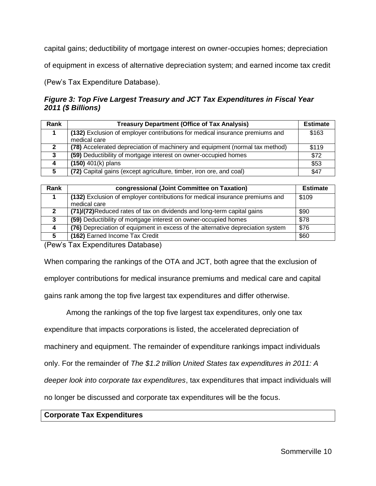capital gains; deductibility of mortgage interest on owner-occupies homes; depreciation

of equipment in excess of alternative depreciation system; and earned income tax credit

(Pew's Tax Expenditure Database).

# *Figure 3: Top Five Largest Treasury and JCT Tax Expenditures in Fiscal Year 2011 (\$ Billions)*

| Rank | <b>Treasury Department (Office of Tax Analysis)</b>                          | <b>Estimate</b> |
|------|------------------------------------------------------------------------------|-----------------|
|      | (132) Exclusion of employer contributions for medical insurance premiums and | \$163           |
|      | medical care                                                                 |                 |
| 2    | (78) Accelerated depreciation of machinery and equipment (normal tax method) | \$119           |
| 3    | (59) Deductibility of mortgage interest on owner-occupied homes              | \$72            |
| -4   | $(150)$ 401(k) plans                                                         | \$53            |
| 5    | (72) Capital gains (except agriculture, timber, iron ore, and coal)          | \$47            |

| Rank | congressional (Joint Committee on Taxation)                                                  | <b>Estimate</b> |
|------|----------------------------------------------------------------------------------------------|-----------------|
|      | (132) Exclusion of employer contributions for medical insurance premiums and<br>medical care | \$109           |
|      | (71)/(72)Reduced rates of tax on dividends and long-term capital gains                       | \$90            |
| 3    | (59) Deductibility of mortgage interest on owner-occupied homes                              | \$78            |
| 4    | (76) Depreciation of equipment in excess of the alternative depreciation system              | \$76            |
| 5    | (162) Earned Income Tax Credit                                                               | \$60            |

(Pew's Tax Expenditures Database)

When comparing the rankings of the OTA and JCT, both agree that the exclusion of employer contributions for medical insurance premiums and medical care and capital gains rank among the top five largest tax expenditures and differ otherwise.

Among the rankings of the top five largest tax expenditures, only one tax

expenditure that impacts corporations is listed, the accelerated depreciation of

machinery and equipment. The remainder of expenditure rankings impact individuals

only. For the remainder of *The \$1.2 trillion United States tax expenditures in 2011: A* 

*deeper look into corporate tax expenditures*, tax expenditures that impact individuals will

no longer be discussed and corporate tax expenditures will be the focus.

## **Corporate Tax Expenditures**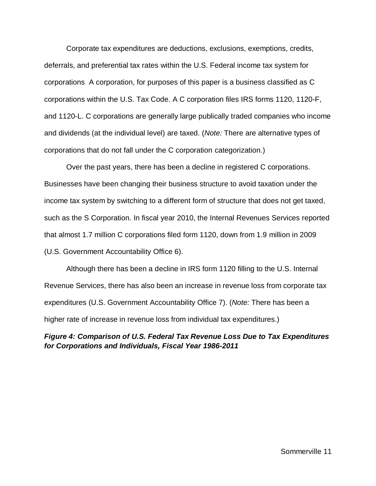Corporate tax expenditures are deductions, exclusions, exemptions, credits, deferrals, and preferential tax rates within the U.S. Federal income tax system for corporations. A corporation, for purposes of this paper is a business classified as C corporations within the U.S. Tax Code. A C corporation files IRS forms 1120, 1120-F, and 1120-L. C corporations are generally large publically traded companies who income and dividends (at the individual level) are taxed. (*Note:* There are alternative types of corporations that do not fall under the C corporation categorization.)

Over the past years, there has been a decline in registered C corporations. Businesses have been changing their business structure to avoid taxation under the income tax system by switching to a different form of structure that does not get taxed, such as the S Corporation. In fiscal year 2010, the Internal Revenues Services reported that almost 1.7 million C corporations filed form 1120, down from 1.9 million in 2009 (U.S. Government Accountability Office 6).

Although there has been a decline in IRS form 1120 filling to the U.S. Internal Revenue Services, there has also been an increase in revenue loss from corporate tax expenditures (U.S. Government Accountability Office 7). (*Note:* There has been a higher rate of increase in revenue loss from individual tax expenditures.)

# *Figure 4: Comparison of U.S. Federal Tax Revenue Loss Due to Tax Expenditures for Corporations and Individuals, Fiscal Year 1986-2011*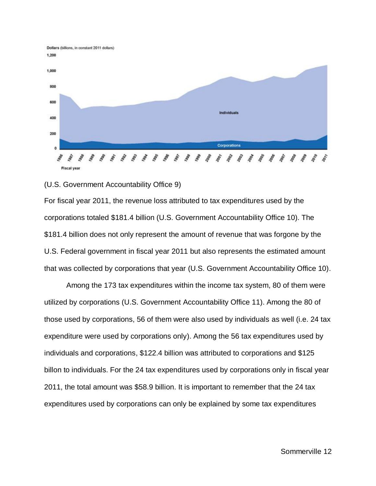

#### (U.S. Government Accountability Office 9)

For fiscal year 2011, the revenue loss attributed to tax expenditures used by the corporations totaled \$181.4 billion (U.S. Government Accountability Office 10). The \$181.4 billion does not only represent the amount of revenue that was forgone by the U.S. Federal government in fiscal year 2011 but also represents the estimated amount that was collected by corporations that year (U.S. Government Accountability Office 10).

Among the 173 tax expenditures within the income tax system, 80 of them were utilized by corporations (U.S. Government Accountability Office 11). Among the 80 of those used by corporations, 56 of them were also used by individuals as well (i.e. 24 tax expenditure were used by corporations only). Among the 56 tax expenditures used by individuals and corporations, \$122.4 billion was attributed to corporations and \$125 billon to individuals. For the 24 tax expenditures used by corporations only in fiscal year 2011, the total amount was \$58.9 billion. It is important to remember that the 24 tax expenditures used by corporations can only be explained by some tax expenditures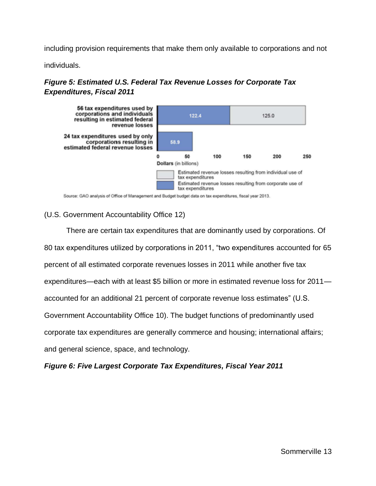including provision requirements that make them only available to corporations and not

individuals.

# *Figure 5: Estimated U.S. Federal Tax Revenue Losses for Corporate Tax Expenditures, Fiscal 2011*



Source: GAO analysis of Office of Management and Budget budget data on tax expenditures, fiscal year 2013.

# (U.S. Government Accountability Office 12)

There are certain tax expenditures that are dominantly used by corporations. Of 80 tax expenditures utilized by corporations in 2011, "two expenditures accounted for 65 percent of all estimated corporate revenues losses in 2011 while another five tax expenditures—each with at least \$5 billion or more in estimated revenue loss for 2011 accounted for an additional 21 percent of corporate revenue loss estimates" (U.S. Government Accountability Office 10). The budget functions of predominantly used corporate tax expenditures are generally commerce and housing; international affairs; and general science, space, and technology.

*Figure 6: Five Largest Corporate Tax Expenditures, Fiscal Year 2011*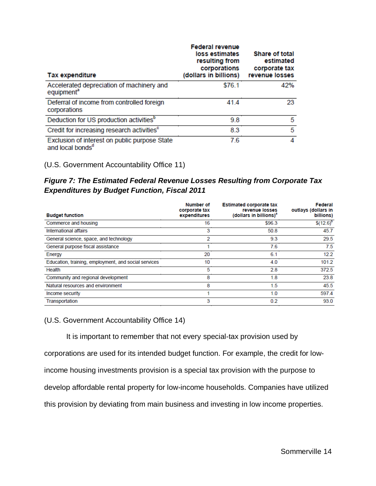| <b>Tax expenditure</b>                                                        | <b>Federal revenue</b><br>loss estimates<br>resulting from<br>corporations<br>(dollars in billions) | <b>Share of total</b><br>estimated<br>corporate tax<br>revenue losses |
|-------------------------------------------------------------------------------|-----------------------------------------------------------------------------------------------------|-----------------------------------------------------------------------|
| Accelerated depreciation of machinery and<br>equipment <sup>a</sup>           | \$76.1                                                                                              | 42%                                                                   |
| Deferral of income from controlled foreign<br>corporations                    | 41.4                                                                                                | 23                                                                    |
| Deduction for US production activities <sup>b</sup>                           | 9.8                                                                                                 | 5                                                                     |
| Credit for increasing research activities <sup>c</sup>                        | 8.3                                                                                                 | 5                                                                     |
| Exclusion of interest on public purpose State<br>and local bonds <sup>®</sup> | 7.6                                                                                                 | 4                                                                     |

(U.S. Government Accountability Office 11)

*Figure 7: The Estimated Federal Revenue Losses Resulting from Corporate Tax Expenditures by Budget Function, Fiscal 2011*

| <b>Budget function</b>                               | Number of<br>corporate tax<br>expenditures | <b>Estimated corporate tax</b><br>revenue losses<br>(dollars in billions) <sup>a</sup> | Federal<br>outlays (dollars in<br>billions) |
|------------------------------------------------------|--------------------------------------------|----------------------------------------------------------------------------------------|---------------------------------------------|
| Commerce and housing                                 | 16                                         | \$96.3                                                                                 | $$(12.6)^b$                                 |
| International affairs                                | 3                                          | 50.8                                                                                   | 45.7                                        |
| General science, space, and technology               | 2                                          | 9.3                                                                                    | 29.5                                        |
| General purpose fiscal assistance                    |                                            | 7.6                                                                                    | 7.5                                         |
| Energy                                               | 20                                         | 6.1                                                                                    | 12.2                                        |
| Education, training, employment, and social services | 10                                         | 4.0                                                                                    | 101.2                                       |
| Health                                               | 5                                          | 2.8                                                                                    | 372.5                                       |
| Community and regional development                   | 8                                          | 1.8                                                                                    | 23.8                                        |
| Natural resources and environment                    | 8                                          | 1.5                                                                                    | 45.5                                        |
| Income security                                      |                                            | 1.0                                                                                    | 597.4                                       |
| Transportation                                       | 3                                          | 0.2                                                                                    | 93.0                                        |

# (U.S. Government Accountability Office 14)

It is important to remember that not every special-tax provision used by corporations are used for its intended budget function. For example, the credit for lowincome housing investments provision is a special tax provision with the purpose to develop affordable rental property for low-income households. Companies have utilized this provision by deviating from main business and investing in low income properties.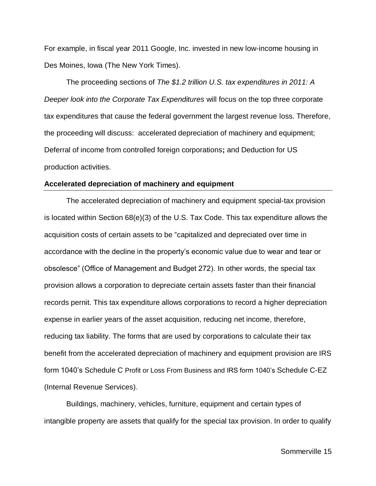For example, in fiscal year 2011 Google, Inc. invested in new low-income housing in Des Moines, Iowa (The New York Times).

The proceeding sections of *The \$1.2 trillion U.S. tax expenditures in 2011: A Deeper look into the Corporate Tax Expenditures* will focus on the top three corporate tax expenditures that cause the federal government the largest revenue loss. Therefore, the proceeding will discuss: accelerated depreciation of machinery and equipment; Deferral of income from controlled foreign corporations**;** and Deduction for US production activities.

#### **Accelerated depreciation of machinery and equipment**

The accelerated depreciation of machinery and equipment special-tax provision is located within Section 68(e)(3) of the U.S. Tax Code. This tax expenditure allows the acquisition costs of certain assets to be "capitalized and depreciated over time in accordance with the decline in the property's economic value due to wear and tear or obsolesce" (Office of Management and Budget 272). In other words, the special tax provision allows a corporation to depreciate certain assets faster than their financial records pernit. This tax expenditure allows corporations to record a higher depreciation expense in earlier years of the asset acquisition, reducing net income, therefore, reducing tax liability. The forms that are used by corporations to calculate their tax benefit from the accelerated depreciation of machinery and equipment provision are IRS form 1040's Schedule C Profit or Loss From Business and IRS form 1040's Schedule C-EZ (Internal Revenue Services).

Buildings, machinery, vehicles, furniture, equipment and certain types of intangible property are assets that qualify for the special tax provision. In order to qualify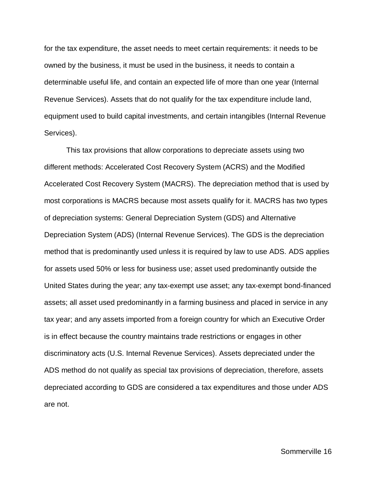for the tax expenditure, the asset needs to meet certain requirements: it needs to be owned by the business, it must be used in the business, it needs to contain a determinable useful life, and contain an expected life of more than one year (Internal Revenue Services). Assets that do not qualify for the tax expenditure include land, equipment used to build capital investments, and certain intangibles (Internal Revenue Services).

This tax provisions that allow corporations to depreciate assets using two different methods: Accelerated Cost Recovery System (ACRS) and the Modified Accelerated Cost Recovery System (MACRS). The depreciation method that is used by most corporations is MACRS because most assets qualify for it. MACRS has two types of depreciation systems: General Depreciation System (GDS) and Alternative Depreciation System (ADS) (Internal Revenue Services). The GDS is the depreciation method that is predominantly used unless it is required by law to use ADS. ADS applies for assets used 50% or less for business use; asset used predominantly outside the United States during the year; any tax-exempt use asset; any tax-exempt bond-financed assets; all asset used predominantly in a farming business and placed in service in any tax year; and any assets imported from a foreign country for which an Executive Order is in effect because the country maintains trade restrictions or engages in other discriminatory acts (U.S. Internal Revenue Services). Assets depreciated under the ADS method do not qualify as special tax provisions of depreciation, therefore, assets depreciated according to GDS are considered a tax expenditures and those under ADS are not.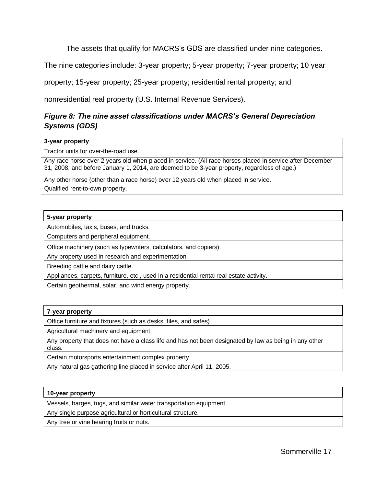The assets that qualify for MACRS's GDS are classified under nine categories.

The nine categories include: 3-year property; 5-year property; 7-year property; 10 year

property; 15-year property; 25-year property; residential rental property; and

nonresidential real property (U.S. Internal Revenue Services).

# *Figure 8: The nine asset classifications under MACRS's General Depreciation Systems (GDS)*

#### **3-year property**

Tractor units for over-the-road use.

Any race horse over 2 years old when placed in service. (All race horses placed in service after December 31, 2008, and before January 1, 2014, are deemed to be 3-year property, regardless of age.)

Any other horse (other than a race horse) over 12 years old when placed in service. Qualified rent-to-own property.

## **5-year property**

Automobiles, taxis, buses, and trucks.

Computers and peripheral equipment.

Office machinery (such as typewriters, calculators, and copiers).

Any property used in research and experimentation.

Breeding cattle and dairy cattle.

Appliances, carpets, furniture, etc., used in a residential rental real estate activity.

Certain geothermal, solar, and wind energy property.

## **7-year property**

Office furniture and fixtures (such as desks, files, and safes).

Agricultural machinery and equipment.

Any property that does not have a class life and has not been designated by law as being in any other class.

Certain motorsports entertainment complex property.

Any natural gas gathering line placed in service after April 11, 2005.

#### **10-year property**

Vessels, barges, tugs, and similar water transportation equipment.

Any single purpose agricultural or horticultural structure.

Any tree or vine bearing fruits or nuts.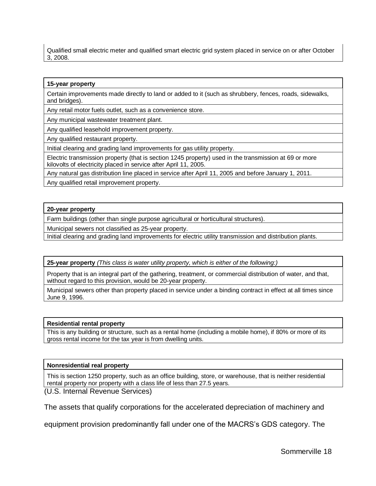Qualified small electric meter and qualified smart electric grid system placed in service on or after October 3, 2008.

#### **15-year property**

Certain improvements made directly to land or added to it (such as shrubbery, fences, roads, sidewalks, and bridges).

Any retail motor fuels outlet, such as a convenience store.

Any municipal wastewater treatment plant.

Any qualified leasehold improvement property.

Any qualified restaurant property.

Initial clearing and grading land improvements for gas utility property.

Electric transmission property (that is section 1245 property) used in the transmission at 69 or more kilovolts of electricity placed in service after April 11, 2005.

Any natural gas distribution line placed in service after April 11, 2005 and before January 1, 2011.

Any qualified retail improvement property.

#### **20-year property**

Farm buildings (other than single purpose agricultural or horticultural structures).

Municipal sewers not classified as 25-year property.

Initial clearing and grading land improvements for electric utility transmission and distribution plants.

**25-year property** *(This class is water utility property, which is either of the following:)*

Property that is an integral part of the gathering, treatment, or commercial distribution of water, and that, without regard to this provision, would be 20-year property.

Municipal sewers other than property placed in service under a binding contract in effect at all times since June 9, 1996.

#### **Residential rental property**

This is any building or structure, such as a rental home (including a mobile home), if 80% or more of its gross rental income for the tax year is from dwelling units.

#### **Nonresidential real property**

This is section 1250 property, such as an office building, store, or warehouse, that is neither residential rental property nor property with a class life of less than 27.5 years.

(U.S. Internal Revenue Services)

The assets that qualify corporations for the accelerated depreciation of machinery and

equipment provision predominantly fall under one of the MACRS's GDS category. The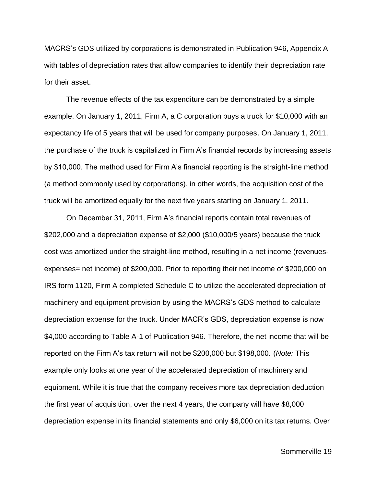MACRS's GDS utilized by corporations is demonstrated in Publication 946, Appendix A with tables of depreciation rates that allow companies to identify their depreciation rate for their asset.

The revenue effects of the tax expenditure can be demonstrated by a simple example. On January 1, 2011, Firm A, a C corporation buys a truck for \$10,000 with an expectancy life of 5 years that will be used for company purposes. On January 1, 2011, the purchase of the truck is capitalized in Firm A's financial records by increasing assets by \$10,000. The method used for Firm A's financial reporting is the straight-line method (a method commonly used by corporations), in other words, the acquisition cost of the truck will be amortized equally for the next five years starting on January 1, 2011.

On December 31, 2011, Firm A's financial reports contain total revenues of \$202,000 and a depreciation expense of \$2,000 (\$10,000/5 years) because the truck cost was amortized under the straight-line method, resulting in a net income (revenuesexpenses= net income) of \$200,000. Prior to reporting their net income of \$200,000 on IRS form 1120, Firm A completed Schedule C to utilize the accelerated depreciation of machinery and equipment provision by using the MACRS's GDS method to calculate depreciation expense for the truck. Under MACR's GDS, depreciation expense is now \$4,000 according to Table A-1 of Publication 946. Therefore, the net income that will be reported on the Firm A's tax return will not be \$200,000 but \$198,000. (*Note:* This example only looks at one year of the accelerated depreciation of machinery and equipment. While it is true that the company receives more tax depreciation deduction the first year of acquisition, over the next 4 years, the company will have \$8,000 depreciation expense in its financial statements and only \$6,000 on its tax returns. Over

Sommerville 19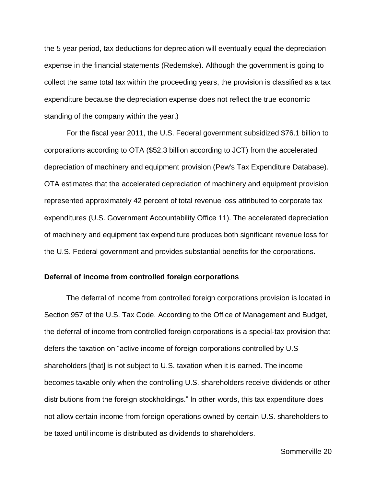the 5 year period, tax deductions for depreciation will eventually equal the depreciation expense in the financial statements (Redemske). Although the government is going to collect the same total tax within the proceeding years, the provision is classified as a tax expenditure because the depreciation expense does not reflect the true economic standing of the company within the year.)

For the fiscal year 2011, the U.S. Federal government subsidized \$76.1 billion to corporations according to OTA (\$52.3 billion according to JCT) from the accelerated depreciation of machinery and equipment provision (Pew's Tax Expenditure Database). OTA estimates that the accelerated depreciation of machinery and equipment provision represented approximately 42 percent of total revenue loss attributed to corporate tax expenditures (U.S. Government Accountability Office 11). The accelerated depreciation of machinery and equipment tax expenditure produces both significant revenue loss for the U.S. Federal government and provides substantial benefits for the corporations.

## **Deferral of income from controlled foreign corporations**

The deferral of income from controlled foreign corporations provision is located in Section 957 of the U.S. Tax Code. According to the Office of Management and Budget, the deferral of income from controlled foreign corporations is a special-tax provision that defers the taxation on "active income of foreign corporations controlled by U.S shareholders [that] is not subject to U.S. taxation when it is earned. The income becomes taxable only when the controlling U.S. shareholders receive dividends or other distributions from the foreign stockholdings." In other words, this tax expenditure does not allow certain income from foreign operations owned by certain U.S. shareholders to be taxed until income is distributed as dividends to shareholders.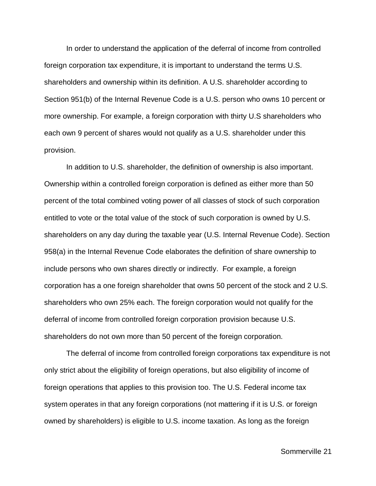In order to understand the application of the deferral of income from controlled foreign corporation tax expenditure, it is important to understand the terms U.S. shareholders and ownership within its definition. A U.S. shareholder according to Section 951(b) of the Internal Revenue Code is a U.S. person who owns 10 percent or more ownership. For example, a foreign corporation with thirty U.S shareholders who each own 9 percent of shares would not qualify as a U.S. shareholder under this provision.

In addition to U.S. shareholder, the definition of ownership is also important. Ownership within a controlled foreign corporation is defined as either more than 50 percent of the total combined voting power of all classes of stock of such corporation entitled to vote or the total value of the stock of such corporation is owned by U.S. shareholders on any day during the taxable year (U.S. Internal Revenue Code). Section 958(a) in the Internal Revenue Code elaborates the definition of share ownership to include persons who own shares directly or indirectly. For example, a foreign corporation has a one foreign shareholder that owns 50 percent of the stock and 2 U.S. shareholders who own 25% each. The foreign corporation would not qualify for the deferral of income from controlled foreign corporation provision because U.S. shareholders do not own more than 50 percent of the foreign corporation.

The deferral of income from controlled foreign corporations tax expenditure is not only strict about the eligibility of foreign operations, but also eligibility of income of foreign operations that applies to this provision too. The U.S. Federal income tax system operates in that any foreign corporations (not mattering if it is U.S. or foreign owned by shareholders) is eligible to U.S. income taxation. As long as the foreign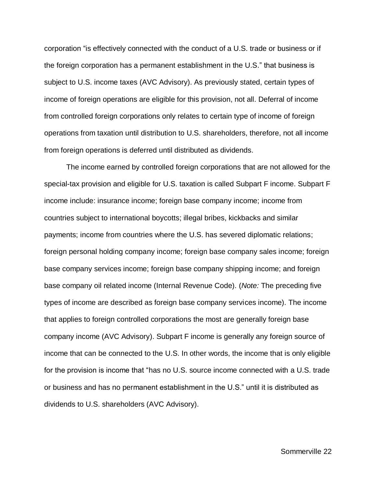corporation "is effectively connected with the conduct of a U.S. trade or business or if the foreign corporation has a permanent establishment in the U.S." that business is subject to U.S. income taxes (AVC Advisory). As previously stated, certain types of income of foreign operations are eligible for this provision, not all. Deferral of income from controlled foreign corporations only relates to certain type of income of foreign operations from taxation until distribution to U.S. shareholders, therefore, not all income from foreign operations is deferred until distributed as dividends.

The income earned by controlled foreign corporations that are not allowed for the special-tax provision and eligible for U.S. taxation is called Subpart F income. Subpart F income include: insurance income; foreign base company income; income from countries subject to international boycotts; illegal bribes, kickbacks and similar payments; income from countries where the U.S. has severed diplomatic relations; foreign personal holding company income; foreign base company sales income; foreign base company services income; foreign base company shipping income; and foreign base company oil related income (Internal Revenue Code). (*Note:* The preceding five types of income are described as foreign base company services income). The income that applies to foreign controlled corporations the most are generally foreign base company income (AVC Advisory). Subpart F income is generally any foreign source of income that can be connected to the U.S. In other words, the income that is only eligible for the provision is income that "has no U.S. source income connected with a U.S. trade or business and has no permanent establishment in the U.S." until it is distributed as dividends to U.S. shareholders (AVC Advisory).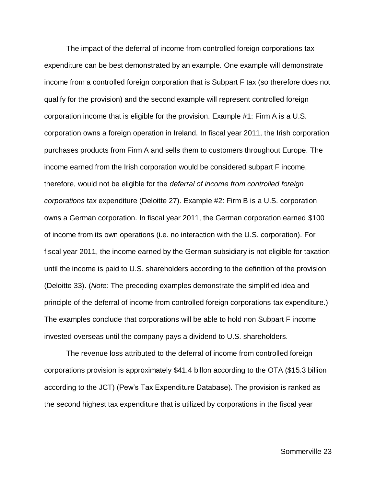The impact of the deferral of income from controlled foreign corporations tax expenditure can be best demonstrated by an example. One example will demonstrate income from a controlled foreign corporation that is Subpart F tax (so therefore does not qualify for the provision) and the second example will represent controlled foreign corporation income that is eligible for the provision. Example #1: Firm A is a U.S. corporation owns a foreign operation in Ireland. In fiscal year 2011, the Irish corporation purchases products from Firm A and sells them to customers throughout Europe. The income earned from the Irish corporation would be considered subpart F income, therefore, would not be eligible for the *deferral of income from controlled foreign corporations* tax expenditure (Deloitte 27). Example #2: Firm B is a U.S. corporation owns a German corporation. In fiscal year 2011, the German corporation earned \$100 of income from its own operations (i.e. no interaction with the U.S. corporation). For fiscal year 2011, the income earned by the German subsidiary is not eligible for taxation until the income is paid to U.S. shareholders according to the definition of the provision (Deloitte 33). (*Note:* The preceding examples demonstrate the simplified idea and principle of the deferral of income from controlled foreign corporations tax expenditure.) The examples conclude that corporations will be able to hold non Subpart F income invested overseas until the company pays a dividend to U.S. shareholders.

The revenue loss attributed to the deferral of income from controlled foreign corporations provision is approximately \$41.4 billon according to the OTA (\$15.3 billion according to the JCT) (Pew's Tax Expenditure Database). The provision is ranked as the second highest tax expenditure that is utilized by corporations in the fiscal year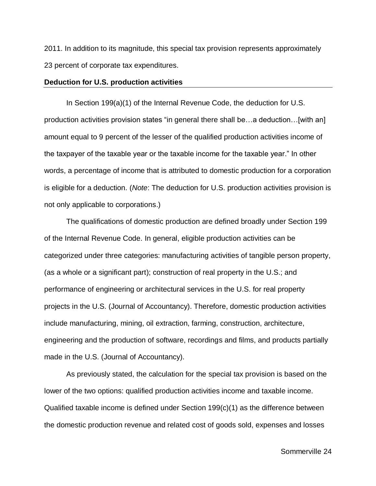2011. In addition to its magnitude, this special tax provision represents approximately 23 percent of corporate tax expenditures.

## **Deduction for U.S. production activities**

In Section 199(a)(1) of the Internal Revenue Code, the deduction for U.S. production activities provision states "in general there shall be…a deduction…[with an] amount equal to 9 percent of the lesser of the qualified production activities income of the taxpayer of the taxable year or the taxable income for the taxable year." In other words, a percentage of income that is attributed to domestic production for a corporation is eligible for a deduction. (*Note*: The deduction for U.S. production activities provision is not only applicable to corporations.)

The qualifications of domestic production are defined broadly under Section 199 of the Internal Revenue Code. In general, eligible production activities can be categorized under three categories: manufacturing activities of tangible person property, (as a whole or a significant part); construction of real property in the U.S.; and performance of engineering or architectural services in the U.S. for real property projects in the U.S. (Journal of Accountancy). Therefore, domestic production activities include manufacturing, mining, oil extraction, farming, construction, architecture, engineering and the production of software, recordings and films, and products partially made in the U.S. (Journal of Accountancy).

As previously stated, the calculation for the special tax provision is based on the lower of the two options: qualified production activities income and taxable income. Qualified taxable income is defined under Section 199(c)(1) as the difference between the domestic production revenue and related cost of goods sold, expenses and losses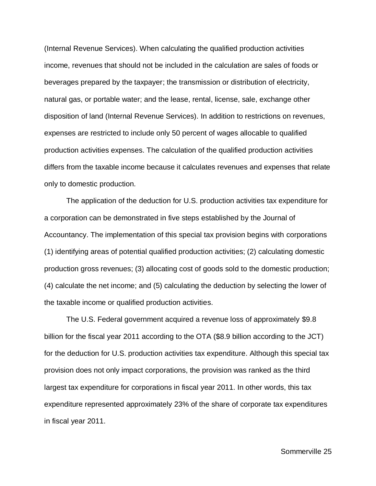(Internal Revenue Services). When calculating the qualified production activities income, revenues that should not be included in the calculation are sales of foods or beverages prepared by the taxpayer; the transmission or distribution of electricity, natural gas, or portable water; and the lease, rental, license, sale, exchange other disposition of land (Internal Revenue Services). In addition to restrictions on revenues, expenses are restricted to include only 50 percent of wages allocable to qualified production activities expenses. The calculation of the qualified production activities differs from the taxable income because it calculates revenues and expenses that relate only to domestic production.

The application of the deduction for U.S. production activities tax expenditure for a corporation can be demonstrated in five steps established by the Journal of Accountancy. The implementation of this special tax provision begins with corporations (1) identifying areas of potential qualified production activities; (2) calculating domestic production gross revenues; (3) allocating cost of goods sold to the domestic production; (4) calculate the net income; and (5) calculating the deduction by selecting the lower of the taxable income or qualified production activities.

The U.S. Federal government acquired a revenue loss of approximately \$9.8 billion for the fiscal year 2011 according to the OTA (\$8.9 billion according to the JCT) for the deduction for U.S. production activities tax expenditure. Although this special tax provision does not only impact corporations, the provision was ranked as the third largest tax expenditure for corporations in fiscal year 2011. In other words, this tax expenditure represented approximately 23% of the share of corporate tax expenditures in fiscal year 2011.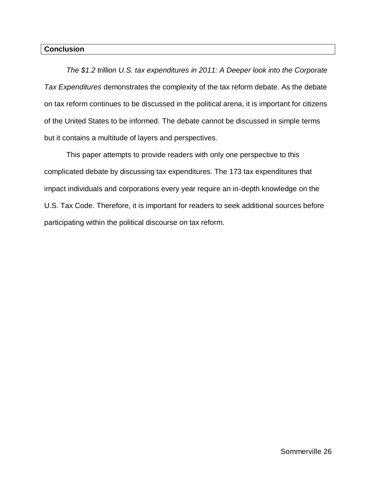## **Conclusion**

*The \$1.2 trillion U.S. tax expenditures in 2011: A Deeper look into the Corporate Tax Expenditures* demonstrates the complexity of the tax reform debate. As the debate on tax reform continues to be discussed in the political arena, it is important for citizens of the United States to be informed. The debate cannot be discussed in simple terms but it contains a multitude of layers and perspectives.

This paper attempts to provide readers with only one perspective to this complicated debate by discussing tax expenditures. The 173 tax expenditures that impact individuals and corporations every year require an in-depth knowledge on the U.S. Tax Code. Therefore, it is important for readers to seek additional sources before participating within the political discourse on tax reform.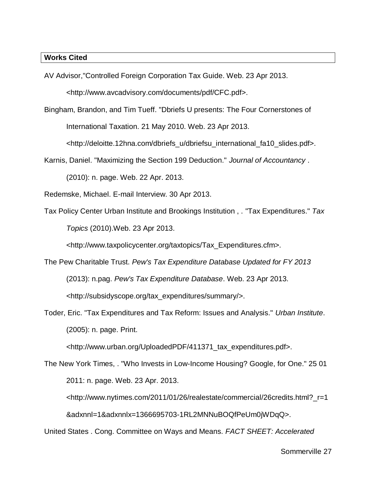## **Works Cited**

AV Advisor,"Controlled Foreign Corporation Tax Guide. Web. 23 Apr 2013.

<http://www.avcadvisory.com/documents/pdf/CFC.pdf>.

Bingham, Brandon, and Tim Tueff. "Dbriefs U presents: The Four Cornerstones of International Taxation. 21 May 2010. Web. 23 Apr 2013.

<http://deloitte.12hna.com/dbriefs\_u/dbriefsu\_international\_fa10\_slides.pdf>.

Karnis, Daniel. "Maximizing the Section 199 Deduction." *Journal of Accountancy* . (2010): n. page. Web. 22 Apr. 2013.

Redemske, Michael. E-mail Interview. 30 Apr 2013.

Tax Policy Center Urban Institute and Brookings Institution , . "Tax Expenditures." *Tax Topics* (2010).Web. 23 Apr 2013.

<http://www.taxpolicycenter.org/taxtopics/Tax\_Expenditures.cfm>.

- The Pew Charitable Trust. *Pew's Tax Expenditure Database Updated for FY 2013* (2013): n.pag. *Pew's Tax Expenditure Database*. Web. 23 Apr 2013. <http://subsidyscope.org/tax\_expenditures/summary/>.
- Toder, Eric. "Tax Expenditures and Tax Reform: Issues and Analysis." *Urban Institute*. (2005): n. page. Print.

<http://www.urban.org/UploadedPDF/411371\_tax\_expenditures.pdf>.

The New York Times, . "Who Invests in Low-Income Housing? Google, for One." 25 01 2011: n. page. Web. 23 Apr. 2013. <http://www.nytimes.com/2011/01/26/realestate/commercial/26credits.html?\_r=1 &adxnnl=1&adxnnlx=1366695703-1RL2MNNuBOQfPeUm0jWDqQ>. United States . Cong. Committee on Ways and Means. *FACT SHEET: Accelerated*